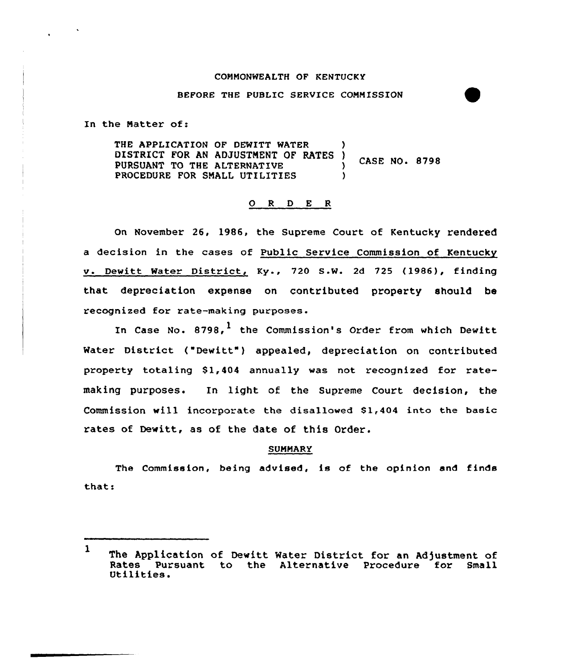### COMMONWEALTH OF KENTUCKY

## BEFORE THE PUBLIC SERVICE COMMISSION

In the Natter of:

THE APPLICATION OF DEWITT WATER DISTRICT FOR AN ADJUSTMENT OF RATES ) CASE NO. 8798<br>PURSUANT TO THE ALTERNATIVE 3<br>PROCEDURE FOR SMALL UTILITIES PROCEDURE FOR SMALL UTILITIES

# 0 <sup>R</sup> <sup>D</sup> E <sup>R</sup>

On November 26, 1986, the Supreme Court of Kentucky rendered a decision in the cases of Public Service Commission of Kentucky v. Dewitt Water District, Ky., 720 S.W. 2d 725 (1986), finding that depreciation expense on contributed property should be recognized for rate-making purposes.

In Case No. 8798,<sup>1</sup> the Commission's Order from which Dewitt Water District ("Dewitt") appealed, depreciation on contributed property totaling \$1,404 annually was not recognized for ratemaking purposes. In light of the Supreme Court decision, the Commission wi11 incorporate the disallowed \$ 1,404 into the basic rates of Dewitt, as of the date of this Order.

### SUMMARY

The Commission, being advised, is of the opinion and finds thats

<sup>1</sup> The Application of Dewitt Water District for an Adjustment of<br>Rates Pursuant to the Alternative Procedure for Small Rates Pursuant to the Alternative Procedure for Small<br>Utilities.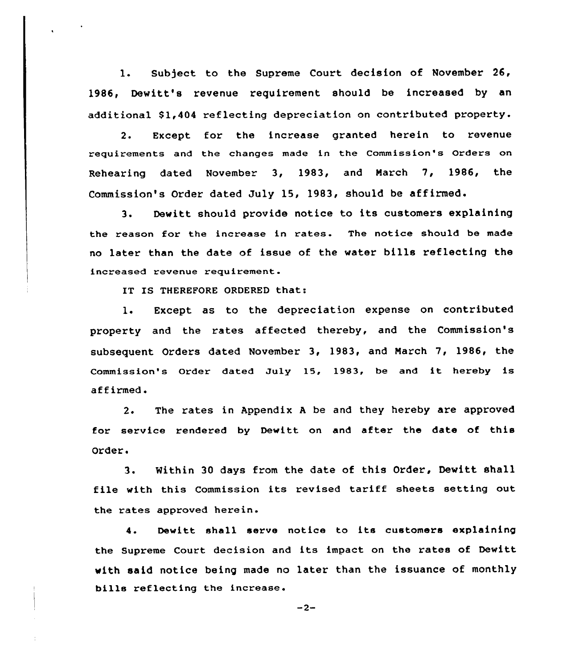1. Subject to the Supreme Court decision of November 26, 1986, Dewitt's revenue requirement should be increased by an additional \$1,404 reflecting depreciation on contributed property.

2. Except for the increase granted herein to revenue requirements and the changes made in the Commission's Orders on Rehearing dated November 3, 1983, and March 7, 1986, the Commission's Order dated July 15, 1983, should be affirmed.

3. Dewitt should provide notice to its customers explaining the reason for the increase in rates. The notice should be made no later than the date of issue of the water bills reflecting the increased revenue requirement.

IT IS THEREFORE ORDERED that:

1. Except as to the depreciation expense on contributed property and the rates affected thereby, and the Commission's subsequent Orders dated November 3, 1983, and Narch 7, 1986, the Commission's Order dated July 15, 1983, be and it hereby is affirmed.

2. The rates in Appendix <sup>A</sup> be and they hereby are approved for service rendered by Dewitt on and after the date of this Order.

3. Within 30 days from the date of this Order, Dewitt shall file with this Commission its revised tariff sheets setting out the rates approved herein.

4. Dewitt shall serve notice to its customers explaining the Supreme Court decision and its impact on the rates of Dewitt with said notice being made no later than the issuance of monthly bills reflecting the increase.

 $-2-$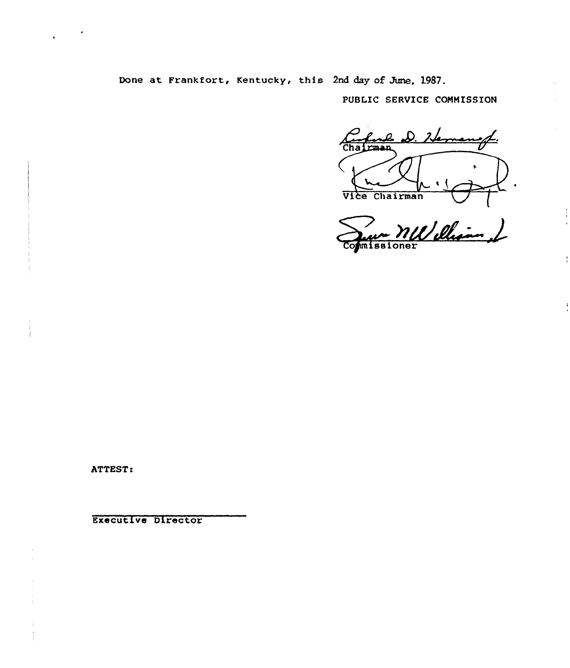Done at Frankfort, Kentucky, this 2nd day of June, 1987.

PUBLIC SERVICE COMMISSION

Chairman  $\bullet$ Vice Chairman

Sur WW ellian &

Ť

ATTEST:

Executive Director